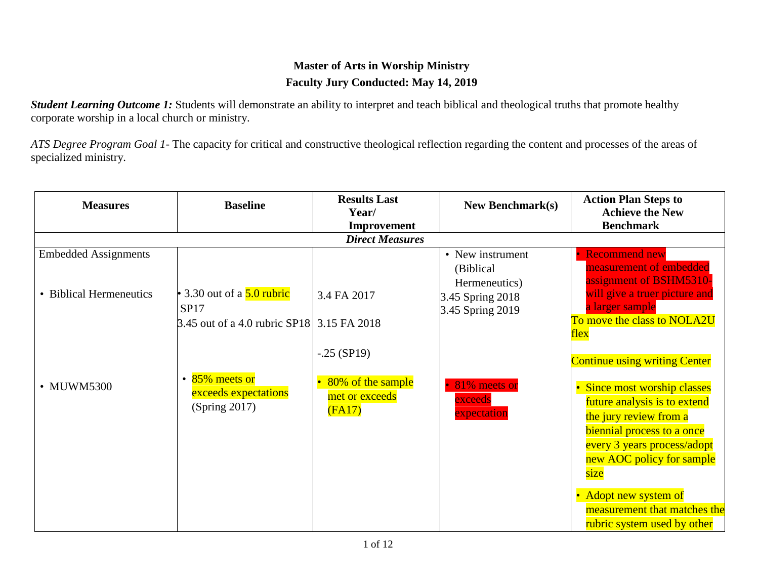## **Master of Arts in Worship Ministry Faculty Jury Conducted: May 14, 2019**

**Student Learning Outcome 1:** Students will demonstrate an ability to interpret and teach biblical and theological truths that promote healthy corporate worship in a local church or ministry.

*ATS Degree Program Goal 1-* The capacity for critical and constructive theological reflection regarding the content and processes of the areas of specialized ministry.

| <b>Measures</b>             | <b>Baseline</b>                                    | <b>Results Last</b><br>Year/                  | <b>New Benchmark(s)</b>                         | <b>Action Plan Steps to</b><br><b>Achieve the New</b>                                  |
|-----------------------------|----------------------------------------------------|-----------------------------------------------|-------------------------------------------------|----------------------------------------------------------------------------------------|
|                             |                                                    | Improvement                                   |                                                 | <b>Benchmark</b>                                                                       |
|                             |                                                    | <b>Direct Measures</b>                        |                                                 |                                                                                        |
| <b>Embedded Assignments</b> |                                                    |                                               | • New instrument<br>(Biblical)<br>Hermeneutics) | <b>Recommend new</b><br>measurement of embedded<br>assignment of BSHM5310-             |
| • Biblical Hermeneutics     | • 3.30 out of a $5.0$ rubric<br><b>SP17</b>        | 3.4 FA 2017                                   | 3.45 Spring 2018<br>3.45 Spring 2019            | will give a truer picture and<br>a larger sample                                       |
|                             | 3.45 out of a 4.0 rubric SP18 3.15 FA 2018         |                                               |                                                 | To move the class to NOLA2U<br><u>flex</u>                                             |
|                             | 85% meets or                                       | $-.25$ (SP19)                                 |                                                 | <b>Continue using writing Center</b>                                                   |
| • MUWM5300                  | $\bullet$<br>exceeds expectations<br>(Spring 2017) | 80% of the sample<br>met or exceeds<br>(FA17) | 81% meets or<br>exceeds<br>expectation          | Since most worship classes<br>future analysis is to extend<br>the jury review from a   |
|                             |                                                    |                                               |                                                 | biennial process to a once<br>every 3 years process/adopt<br>new AOC policy for sample |
|                             |                                                    |                                               |                                                 | size                                                                                   |
|                             |                                                    |                                               |                                                 | Adopt new system of<br>measurement that matches the<br>rubric system used by other     |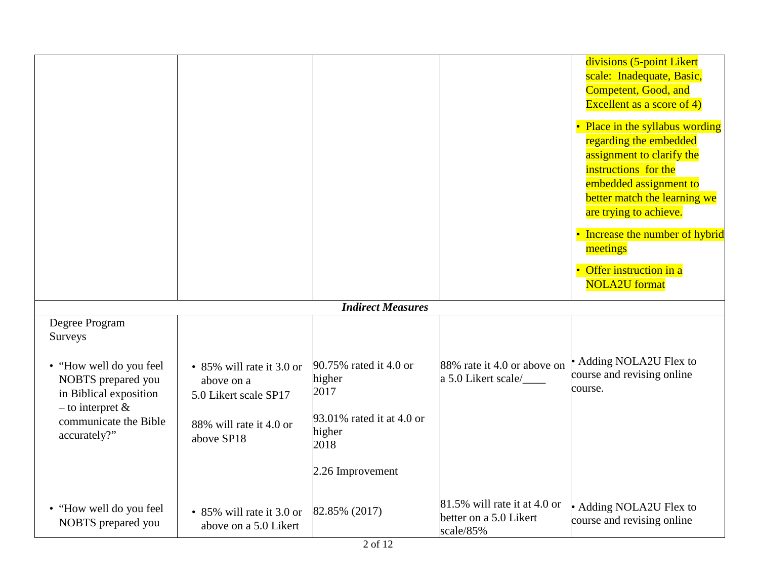|                                                                                                  |                                                                  |                                             |                                                                     | divisions (5-point Likert<br>scale: Inadequate, Basic,<br>Competent, Good, and<br>Excellent as a score of $4$ )<br>• Place in the syllabus wording<br>regarding the embedded<br>assignment to clarify the<br>instructions for the<br>embedded assignment to<br>better match the learning we<br>are trying to achieve.<br>• Increase the number of hybrid<br>meetings<br>• Offer instruction in a<br><b>NOLA2U</b> format |
|--------------------------------------------------------------------------------------------------|------------------------------------------------------------------|---------------------------------------------|---------------------------------------------------------------------|--------------------------------------------------------------------------------------------------------------------------------------------------------------------------------------------------------------------------------------------------------------------------------------------------------------------------------------------------------------------------------------------------------------------------|
|                                                                                                  |                                                                  | <b>Indirect Measures</b>                    |                                                                     |                                                                                                                                                                                                                                                                                                                                                                                                                          |
| Degree Program<br>Surveys                                                                        |                                                                  |                                             |                                                                     |                                                                                                                                                                                                                                                                                                                                                                                                                          |
| • "How well do you feel<br>NOBTS prepared you<br>in Biblical exposition<br>$-$ to interpret $\&$ | • 85% will rate it 3.0 or<br>above on a<br>5.0 Likert scale SP17 | 90.75% rated it 4.0 or<br>higher<br>2017    | 88% rate it 4.0 or above on<br>a 5.0 Likert scale/                  | • Adding NOLA2U Flex to<br>course and revising online<br>course.                                                                                                                                                                                                                                                                                                                                                         |
| communicate the Bible<br>accurately?"                                                            | 88% will rate it 4.0 or<br>above SP18                            | 93.01% rated it at 4.0 or<br>higher<br>2018 |                                                                     |                                                                                                                                                                                                                                                                                                                                                                                                                          |
|                                                                                                  |                                                                  | 2.26 Improvement                            |                                                                     |                                                                                                                                                                                                                                                                                                                                                                                                                          |
| • "How well do you feel<br>NOBTS prepared you                                                    | • 85% will rate it 3.0 or<br>above on a 5.0 Likert               | 82.85% (2017)                               | 81.5% will rate it at 4.0 or<br>better on a 5.0 Likert<br>scale/85% | • Adding NOLA2U Flex to<br>course and revising online                                                                                                                                                                                                                                                                                                                                                                    |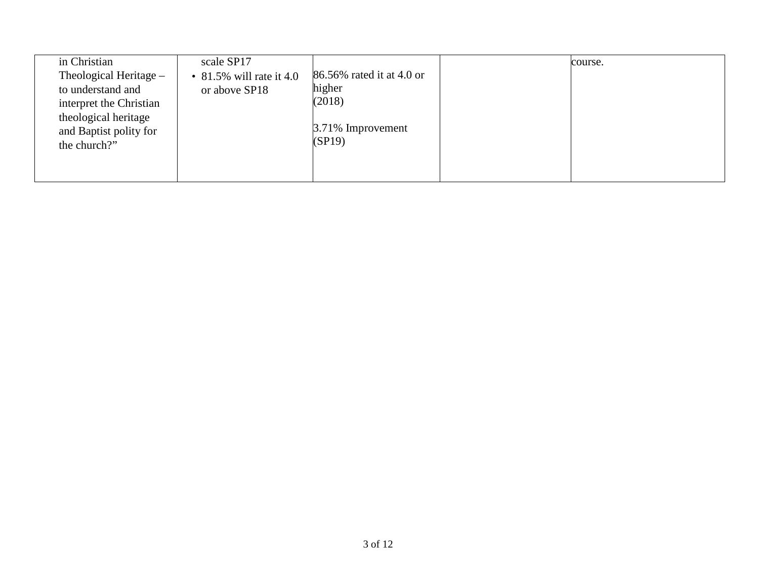| in Christian                                                           | scale SP17                                   |                                               | course. |
|------------------------------------------------------------------------|----------------------------------------------|-----------------------------------------------|---------|
| Theological Heritage –<br>to understand and<br>interpret the Christian | • $81.5\%$ will rate it 4.0<br>or above SP18 | 86.56% rated it at 4.0 or<br>higher<br>(2018) |         |
| theological heritage<br>and Baptist polity for<br>the church?"         |                                              | 3.71% Improvement<br>(SP19)                   |         |
|                                                                        |                                              |                                               |         |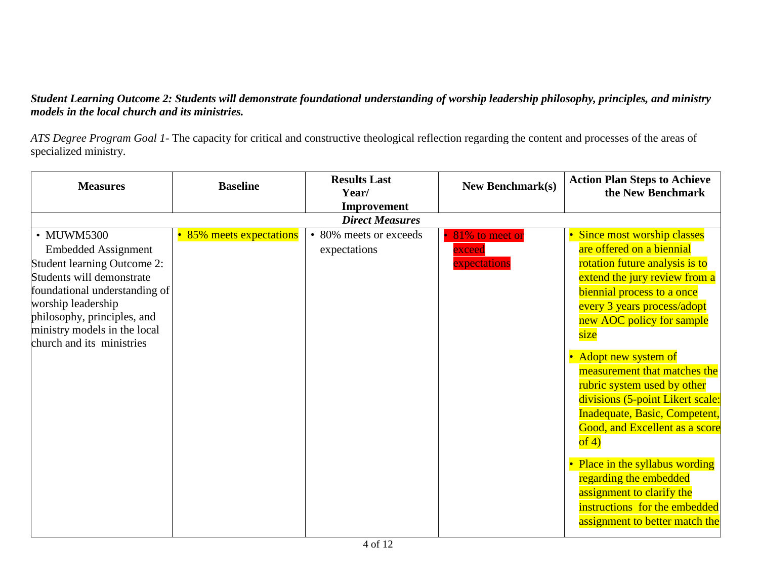### *Student Learning Outcome 2: Students will demonstrate foundational understanding of worship leadership philosophy, principles, and ministry models in the local church and its ministries.*

*ATS Degree Program Goal 1-* The capacity for critical and constructive theological reflection regarding the content and processes of the areas of specialized ministry.

| <b>Measures</b>                                                                                                                                                                                                                                         | <b>Baseline</b>          | <b>Results Last</b><br>Year/           | <b>New Benchmark(s)</b>                                          | <b>Action Plan Steps to Achieve</b><br>the New Benchmark                                                                                                                                                                                                                                                                                                                                                                                                                                                                                                                                          |
|---------------------------------------------------------------------------------------------------------------------------------------------------------------------------------------------------------------------------------------------------------|--------------------------|----------------------------------------|------------------------------------------------------------------|---------------------------------------------------------------------------------------------------------------------------------------------------------------------------------------------------------------------------------------------------------------------------------------------------------------------------------------------------------------------------------------------------------------------------------------------------------------------------------------------------------------------------------------------------------------------------------------------------|
|                                                                                                                                                                                                                                                         |                          | Improvement                            |                                                                  |                                                                                                                                                                                                                                                                                                                                                                                                                                                                                                                                                                                                   |
|                                                                                                                                                                                                                                                         |                          | <b>Direct Measures</b>                 |                                                                  |                                                                                                                                                                                                                                                                                                                                                                                                                                                                                                                                                                                                   |
| • MUWM5300<br><b>Embedded Assignment</b><br>Student learning Outcome 2:<br>Students will demonstrate<br>foundational understanding of<br>worship leadership<br>philosophy, principles, and<br>ministry models in the local<br>church and its ministries | • 85% meets expectations | • 80% meets or exceeds<br>expectations | 81% to meet or<br>$\mathop{\rm exceed}\nolimits$<br>expectations | Since most worship classes<br>are offered on a biennial<br>rotation future analysis is to<br>extend the jury review from a<br>biennial process to a once<br>every 3 years process/adopt<br>new AOC policy for sample<br>size<br>• Adopt new system of<br>measurement that matches the<br>rubric system used by other<br>divisions (5-point Likert scale:<br>Inadequate, Basic, Competent,<br>Good, and Excellent as a score<br>of 4)<br>• Place in the syllabus wording<br>regarding the embedded<br>assignment to clarify the<br>instructions for the embedded<br>assignment to better match the |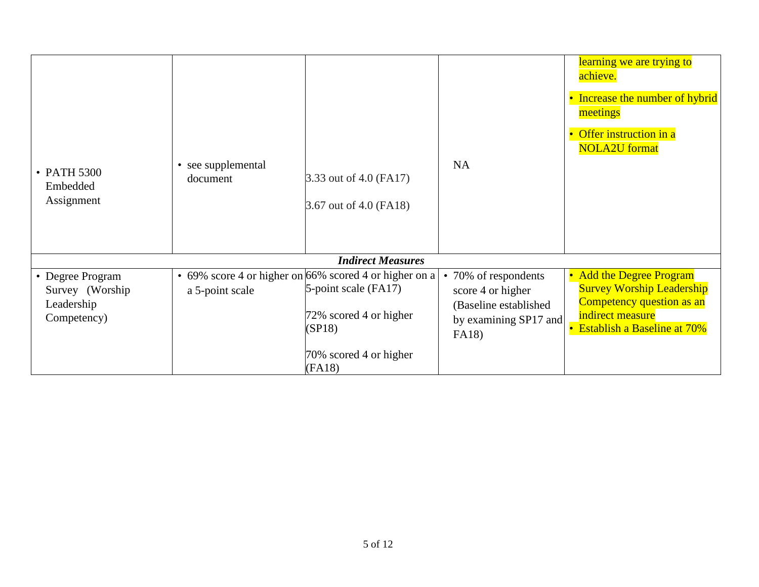| • PATH 5300<br>Embedded<br>Assignment                            | • see supplemental<br>document | 3.33 out of 4.0 (FA17)<br>3.67 out of 4.0 (FA18)                                                                   | <b>NA</b>                                                                                            | learning we are trying to<br>achieve.<br>• Increase the number of hybrid<br>meetings<br>Offer instruction in a<br>$\bullet$<br><b>NOLA2U</b> format |
|------------------------------------------------------------------|--------------------------------|--------------------------------------------------------------------------------------------------------------------|------------------------------------------------------------------------------------------------------|-----------------------------------------------------------------------------------------------------------------------------------------------------|
|                                                                  |                                | <b>Indirect Measures</b>                                                                                           |                                                                                                      |                                                                                                                                                     |
| • Degree Program<br>Survey (Worship<br>Leadership<br>Competency) | a 5-point scale                | • 69% score 4 or higher on 66% scored 4 or higher on a<br>5-point scale (FA17)<br>72% scored 4 or higher<br>(SP18) | • 70% of respondents<br>score 4 or higher<br>(Baseline established<br>by examining SP17 and<br>FA18) | • Add the Degree Program<br><b>Survey Worship Leadership</b><br>Competency question as an<br>indirect measure<br>• Establish a Baseline at 70%      |
|                                                                  |                                | 70% scored 4 or higher<br>(FA18)                                                                                   |                                                                                                      |                                                                                                                                                     |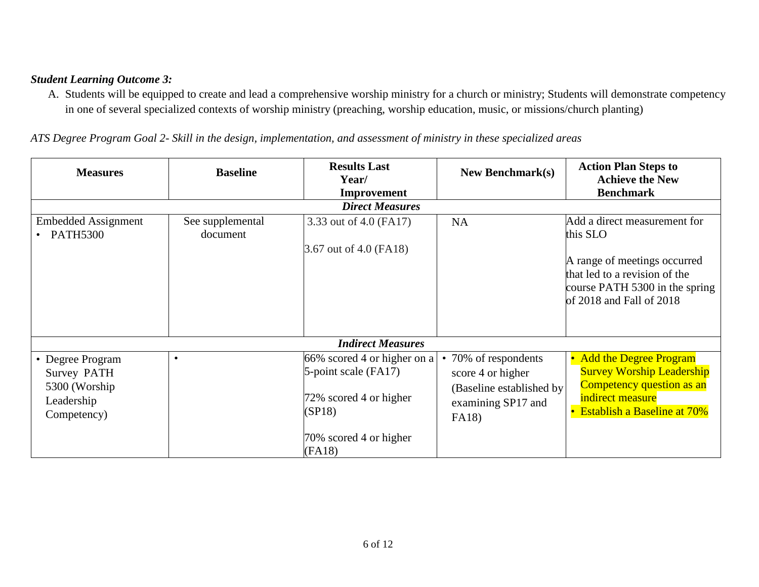#### *Student Learning Outcome 3:*

A. Students will be equipped to create and lead a comprehensive worship ministry for a church or ministry; Students will demonstrate competency in one of several specialized contexts of worship ministry (preaching, worship education, music, or missions/church planting)

*ATS Degree Program Goal 2- Skill in the design, implementation, and assessment of ministry in these specialized areas*

| <b>Measures</b>                                                                       | <b>Baseline</b>              | <b>Results Last</b><br>Year/<br>Improvement                                             | <b>New Benchmark(s)</b>                                                                                    | <b>Action Plan Steps to</b><br><b>Achieve the New</b><br><b>Benchmark</b>                                                                                               |
|---------------------------------------------------------------------------------------|------------------------------|-----------------------------------------------------------------------------------------|------------------------------------------------------------------------------------------------------------|-------------------------------------------------------------------------------------------------------------------------------------------------------------------------|
|                                                                                       |                              | <b>Direct Measures</b>                                                                  |                                                                                                            |                                                                                                                                                                         |
| <b>Embedded Assignment</b><br>• PATH5300                                              | See supplemental<br>document | 3.33 out of 4.0 (FA17)<br>3.67 out of 4.0 (FA18)                                        | <b>NA</b>                                                                                                  | Add a direct measurement for<br>this SLO<br>A range of meetings occurred<br>that led to a revision of the<br>course PATH 5300 in the spring<br>of 2018 and Fall of 2018 |
|                                                                                       |                              | <b>Indirect Measures</b>                                                                |                                                                                                            |                                                                                                                                                                         |
| • Degree Program<br><b>Survey PATH</b><br>5300 (Worship)<br>Leadership<br>Competency) | $\bullet$                    | 66% scored 4 or higher on a<br>5-point scale (FA17)<br>72% scored 4 or higher<br>(SP18) | 70% of respondents<br>score 4 or higher<br>(Baseline established by<br>examining SP17 and<br><b>FA18</b> ) | <b>Add the Degree Program</b><br>$\bullet$<br><b>Survey Worship Leadership</b><br>Competency question as an<br>indirect measure<br><b>Establish a Baseline at 70%</b>   |
|                                                                                       |                              | 70% scored 4 or higher<br>(FA18)                                                        |                                                                                                            |                                                                                                                                                                         |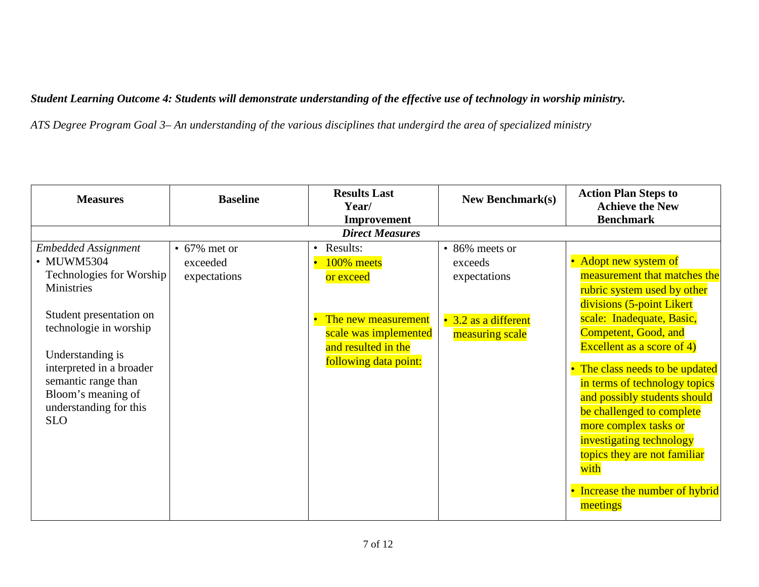## *Student Learning Outcome 4: Students will demonstrate understanding of the effective use of technology in worship ministry.*

*ATS Degree Program Goal 3– An understanding of the various disciplines that undergird the area of specialized ministry*

| <b>Measures</b>            | <b>Baseline</b>    | <b>Results Last</b><br>Year/ | <b>New Benchmark(s)</b> | <b>Action Plan Steps to</b><br><b>Achieve the New</b><br><b>Benchmark</b> |
|----------------------------|--------------------|------------------------------|-------------------------|---------------------------------------------------------------------------|
|                            |                    | Improvement                  |                         |                                                                           |
|                            |                    | <b>Direct Measures</b>       |                         |                                                                           |
| <b>Embedded Assignment</b> | $\cdot$ 67% met or | • Results:                   | • 86% meets or          |                                                                           |
| • MUWM5304                 | exceeded           | 100% meets                   | exceeds                 | • Adopt new system of                                                     |
| Technologies for Worship   | expectations       | or exceed                    | expectations            | measurement that matches the                                              |
| Ministries                 |                    |                              |                         | rubric system used by other                                               |
|                            |                    |                              |                         | divisions (5-point Likert                                                 |
| Student presentation on    |                    | The new measurement          | 3.2 as a different      | scale: Inadequate, Basic,                                                 |
| technologie in worship     |                    | scale was implemented        | measuring scale         | Competent, Good, and                                                      |
|                            |                    | and resulted in the          |                         | Excellent as a score of $4$ )                                             |
| Understanding is           |                    | following data point:        |                         |                                                                           |
| interpreted in a broader   |                    |                              |                         | The class needs to be updated                                             |
| semantic range than        |                    |                              |                         | in terms of technology topics                                             |
| Bloom's meaning of         |                    |                              |                         | and possibly students should                                              |
| understanding for this     |                    |                              |                         | be challenged to complete                                                 |
| <b>SLO</b>                 |                    |                              |                         | more complex tasks or                                                     |
|                            |                    |                              |                         | investigating technology                                                  |
|                            |                    |                              |                         | topics they are not familiar                                              |
|                            |                    |                              |                         |                                                                           |
|                            |                    |                              |                         | with                                                                      |
|                            |                    |                              |                         | Increase the number of hybrid                                             |
|                            |                    |                              |                         | meetings                                                                  |
|                            |                    |                              |                         |                                                                           |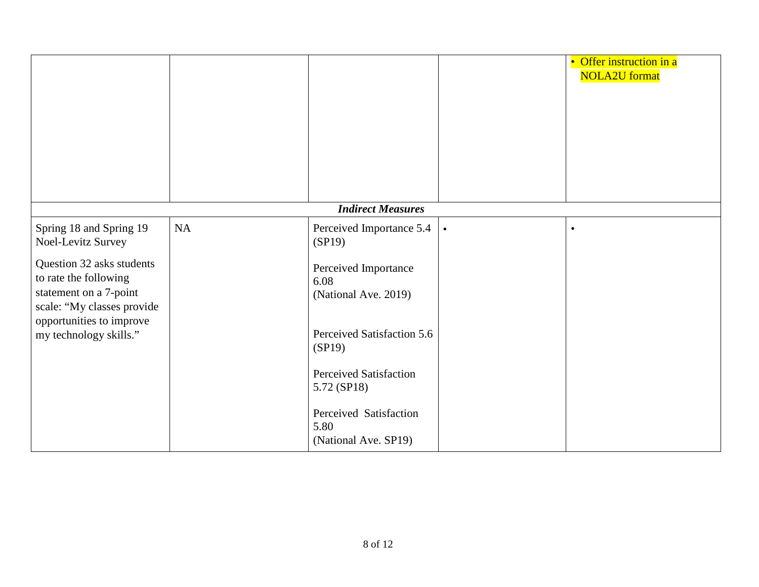|                                                                                                                                        |           |                                                        |           | • Offer instruction in a<br><b>NOLA2U</b> format |
|----------------------------------------------------------------------------------------------------------------------------------------|-----------|--------------------------------------------------------|-----------|--------------------------------------------------|
|                                                                                                                                        |           | <b>Indirect Measures</b>                               |           |                                                  |
| Spring 18 and Spring 19<br>Noel-Levitz Survey                                                                                          | <b>NA</b> | Perceived Importance 5.4<br>(SP19)                     | $\bullet$ | $\bullet$                                        |
| Question 32 asks students<br>to rate the following<br>statement on a 7-point<br>scale: "My classes provide<br>opportunities to improve |           | Perceived Importance<br>6.08<br>(National Ave. 2019)   |           |                                                  |
| my technology skills."                                                                                                                 |           | Perceived Satisfaction 5.6<br>(SP19)                   |           |                                                  |
|                                                                                                                                        |           | <b>Perceived Satisfaction</b><br>5.72 (SP18)           |           |                                                  |
|                                                                                                                                        |           | Perceived Satisfaction<br>5.80<br>(National Ave. SP19) |           |                                                  |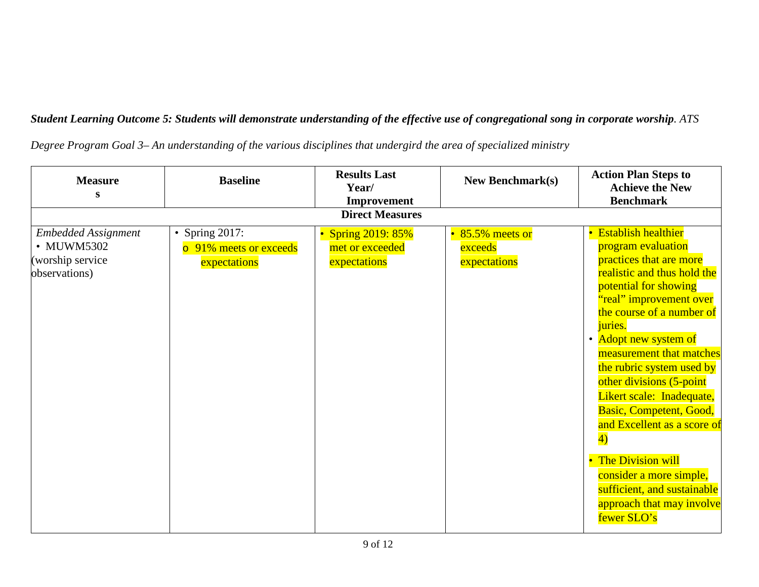*Student Learning Outcome 5: Students will demonstrate understanding of the effective use of congregational song in corporate worship. ATS* 

|  |  |  | Degree Program Goal 3– An understanding of the various disciplines that undergird the area of specialized ministry |  |  |  |  |  |  |  |  |
|--|--|--|--------------------------------------------------------------------------------------------------------------------|--|--|--|--|--|--|--|--|
|--|--|--|--------------------------------------------------------------------------------------------------------------------|--|--|--|--|--|--|--|--|

| <b>Measure</b><br>S                                                           | <b>Baseline</b>                                             | <b>Results Last</b><br>Year/                          | <b>New Benchmark(s)</b>                     | <b>Action Plan Steps to</b><br><b>Achieve the New</b><br><b>Benchmark</b>                                                                                                                                                                                                                                                                                                                                                                                                                                                                 |
|-------------------------------------------------------------------------------|-------------------------------------------------------------|-------------------------------------------------------|---------------------------------------------|-------------------------------------------------------------------------------------------------------------------------------------------------------------------------------------------------------------------------------------------------------------------------------------------------------------------------------------------------------------------------------------------------------------------------------------------------------------------------------------------------------------------------------------------|
|                                                                               |                                                             | Improvement<br><b>Direct Measures</b>                 |                                             |                                                                                                                                                                                                                                                                                                                                                                                                                                                                                                                                           |
| <b>Embedded Assignment</b><br>• MUWM5302<br>(worship service<br>observations) | • Spring $2017$ :<br>o 91% meets or exceeds<br>expectations | • Spring 2019: 85%<br>met or exceeded<br>expectations | • 85.5% meets or<br>exceeds<br>expectations | • Establish healthier<br>program evaluation<br>practices that are more<br>realistic and thus hold the<br>potential for showing<br>"real" improvement over<br>the course of a number of<br>juries.<br>• Adopt new system of<br>measurement that matches<br>the rubric system used by<br>other divisions (5-point<br>Likert scale: Inadequate,<br>Basic, Competent, Good,<br>and Excellent as a score of<br>4)<br>• The Division will<br>consider a more simple,<br>sufficient, and sustainable<br>approach that may involve<br>fewer SLO's |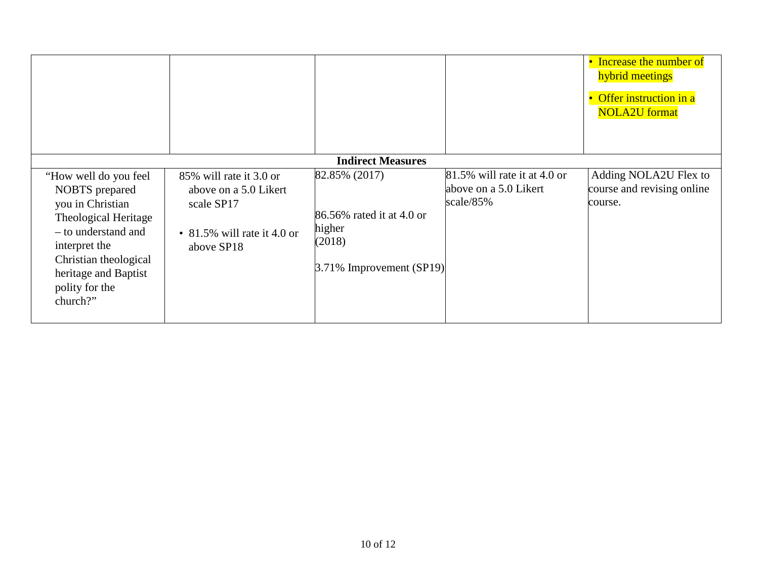|                                                                                                                                                                                                            |                                                                                                             |                                                                                               |                                                                    | • Increase the number of<br>hybrid meetings<br>Offer instruction in a<br>$\bullet$<br><b>NOLA2U</b> format |
|------------------------------------------------------------------------------------------------------------------------------------------------------------------------------------------------------------|-------------------------------------------------------------------------------------------------------------|-----------------------------------------------------------------------------------------------|--------------------------------------------------------------------|------------------------------------------------------------------------------------------------------------|
|                                                                                                                                                                                                            |                                                                                                             | <b>Indirect Measures</b>                                                                      |                                                                    |                                                                                                            |
| "How well do you feel<br>NOBTS prepared<br>you in Christian<br>Theological Heritage<br>- to understand and<br>interpret the<br>Christian theological<br>heritage and Baptist<br>polity for the<br>church?" | 85% will rate it 3.0 or<br>above on a 5.0 Likert<br>scale SP17<br>• 81.5% will rate it 4.0 or<br>above SP18 | 82.85% (2017)<br>86.56% rated it at 4.0 or<br>higher<br>(2018)<br>$3.71\%$ Improvement (SP19) | 81.5% will rate it at 4.0 or<br>above on a 5.0 Likert<br>scale/85% | Adding NOLA2U Flex to<br>course and revising online<br>course.                                             |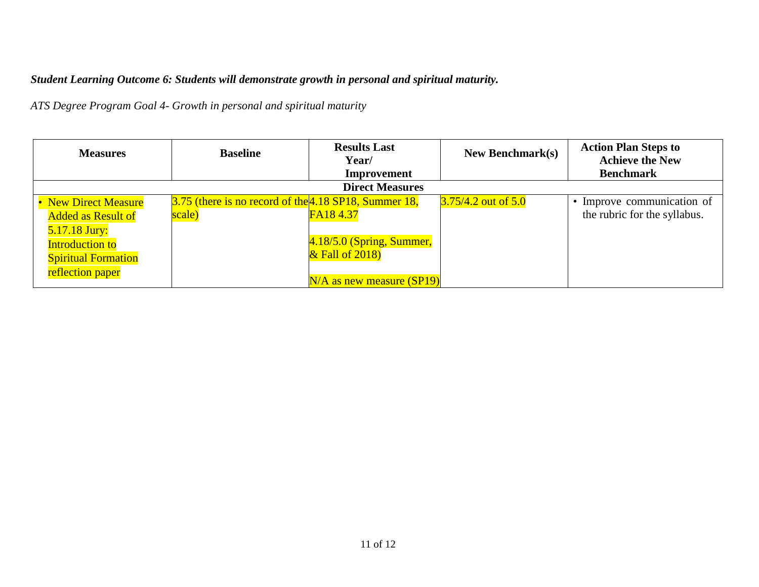# *Student Learning Outcome 6: Students will demonstrate growth in personal and spiritual maturity.*

*ATS Degree Program Goal 4- Growth in personal and spiritual maturity*

| <b>Measures</b>            | <b>Baseline</b>                                         | <b>Results Last</b><br>Year/  | New Benchmark $(s)$   | <b>Action Plan Steps to</b><br><b>Achieve the New</b> |
|----------------------------|---------------------------------------------------------|-------------------------------|-----------------------|-------------------------------------------------------|
|                            |                                                         | <b>Improvement</b>            |                       | <b>Benchmark</b>                                      |
|                            |                                                         | <b>Direct Measures</b>        |                       |                                                       |
| • New Direct Measure       | $3.75$ (there is no record of the 4.18 SP18, Summer 18, |                               | $3.75/4.2$ out of 5.0 | • Improve communication of                            |
| <b>Added as Result of</b>  | scale)                                                  | FA184.37                      |                       | the rubric for the syllabus.                          |
| 5.17.18 Jury:              |                                                         |                               |                       |                                                       |
| <b>Introduction to</b>     |                                                         | $4.18/5.0$ (Spring, Summer,   |                       |                                                       |
| <b>Spiritual Formation</b> |                                                         | $\&$ Fall of 2018)            |                       |                                                       |
| reflection paper           |                                                         |                               |                       |                                                       |
|                            |                                                         | $N/A$ as new measure $(SP19)$ |                       |                                                       |